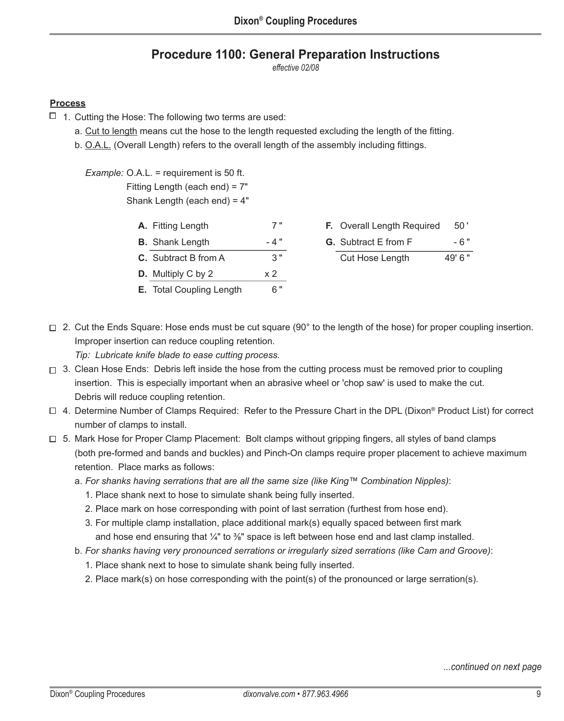## **Procedure 1100: General Preparation Instructions**

*effective 02/08*

## **Process**

- $\Box$  1. Cutting the Hose: The following two terms are used:
	- a. Cut to length means cut the hose to the length requested excluding the length of the fitting.
	- b. O.A.L. (Overall Length) refers to the overall length of the assembly including fittings.

 *Example:* O.A.L. = requirement is 50 ft. Fitting Length (each end) = 7" Shank Length (each end) = 4"

- **A.** Fitting Length 7 "
- **B.** Shank Length 4"
- **C.** Subtract B from A 3"
- **D.** Multiply C by 2  $\times 2$
- **E.** Total Coupling Length 6"
- **F.** Overall Length Required 50' **G.** Subtract E from F - 6" Cut Hose Length 49' 6"
- □ 2. Cut the Ends Square: Hose ends must be cut square (90° to the length of the hose) for proper coupling insertion. Improper insertion can reduce coupling retention.

*Tip: Lubricate knife blade to ease cutting process.*

- $\Box$  3. Clean Hose Ends: Debris left inside the hose from the cutting process must be removed prior to coupling insertion. This is especially important when an abrasive wheel or 'chop saw' is used to make the cut. Debris will reduce coupling retention.
- 4. Determine Number of Clamps Required: Refer to the Pressure Chart in the DPL (Dixon® Product List) for correct number of clamps to install.
- $\Box$  5. Mark Hose for Proper Clamp Placement: Bolt clamps without gripping fingers, all styles of band clamps (both pre-formed and bands and buckles) and Pinch-On clamps require proper placement to achieve maximum retention. Place marks as follows:
	- a. *For shanks having serrations that are all the same size (like King™ Combination Nipples)*:
		- 1. Place shank next to hose to simulate shank being fully inserted.
		- 2. Place mark on hose corresponding with point of last serration (furthest from hose end).
		- 3. For multiple clamp installation, place additional mark(s) equally spaced between first mark and hose end ensuring that  $\frac{1}{4}$ " to  $\frac{3}{8}$ " space is left between hose end and last clamp installed.
	- b. *For shanks having very pronounced serrations or irregularly sized serrations (like Cam and Groove)*:
		- 1. Place shank next to hose to simulate shank being fully inserted.
		- 2. Place mark(s) on hose corresponding with the point(s) of the pronounced or large serration(s).

*...continued on next page*